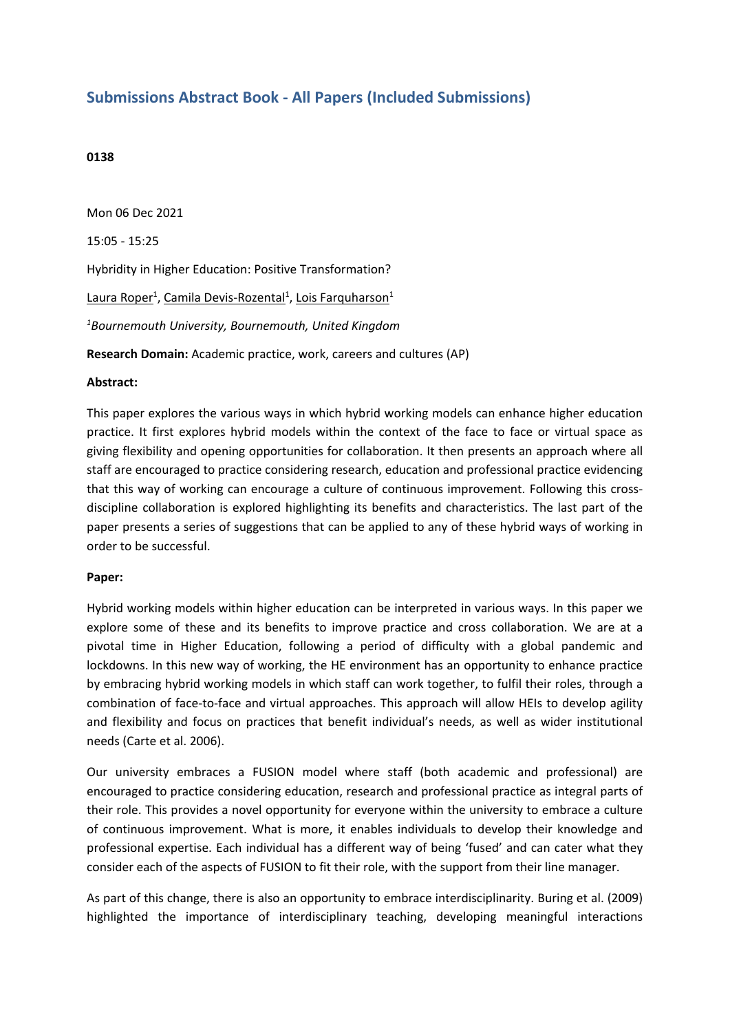## **Submissions Abstract Book - All Papers (Included Submissions)**

## **0138**

Mon 06 Dec 2021 15:05 - 15:25 Hybridity in Higher Education: Positive Transformation? Laura Roper<sup>1</sup>, Camila Devis-Rozental<sup>1</sup>, Lois Farquharson<sup>1</sup> *1 Bournemouth University, Bournemouth, United Kingdom* **Research Domain:** Academic practice, work, careers and cultures (AP)

## **Abstract:**

This paper explores the various ways in which hybrid working models can enhance higher education practice. It first explores hybrid models within the context of the face to face or virtual space as giving flexibility and opening opportunities for collaboration. It then presents an approach where all staff are encouraged to practice considering research, education and professional practice evidencing that this way of working can encourage <sup>a</sup> culture of continuous improvement. Following this crossdiscipline collaboration is explored highlighting its benefits and characteristics. The last part of the paper presents <sup>a</sup> series of suggestions that can be applied to any of these hybrid ways of working in order to be successful.

## **Paper:**

Hybrid working models within higher education can be interpreted in various ways. In this paper we explore some of these and its benefits to improve practice and cross collaboration. We are at <sup>a</sup> pivotal time in Higher Education, following <sup>a</sup> period of difficulty with <sup>a</sup> global pandemic and lockdowns. In this new way of working, the HE environment has an opportunity to enhance practice by embracing hybrid working models in which staff can work together, to fulfil their roles, through <sup>a</sup> combination of face-to-face and virtual approaches. This approach will allow HEIs to develop agility and flexibility and focus on practices that benefit individual's needs, as well as wider institutional needs (Carte et al. 2006).

Our university embraces <sup>a</sup> FUSION model where staff (both academic and professional) are encouraged to practice considering education, research and professional practice as integral parts of their role. This provides <sup>a</sup> novel opportunity for everyone within the university to embrace <sup>a</sup> culture of continuous improvement. What is more, it enables individuals to develop their knowledge and professional expertise. Each individual has <sup>a</sup> different way of being 'fused' and can cater what they consider each of the aspects of FUSION to fit their role, with the support from their line manager.

As part of this change, there is also an opportunity to embrace interdisciplinarity. Buring et al. (2009) highlighted the importance of interdisciplinary teaching, developing meaningful interactions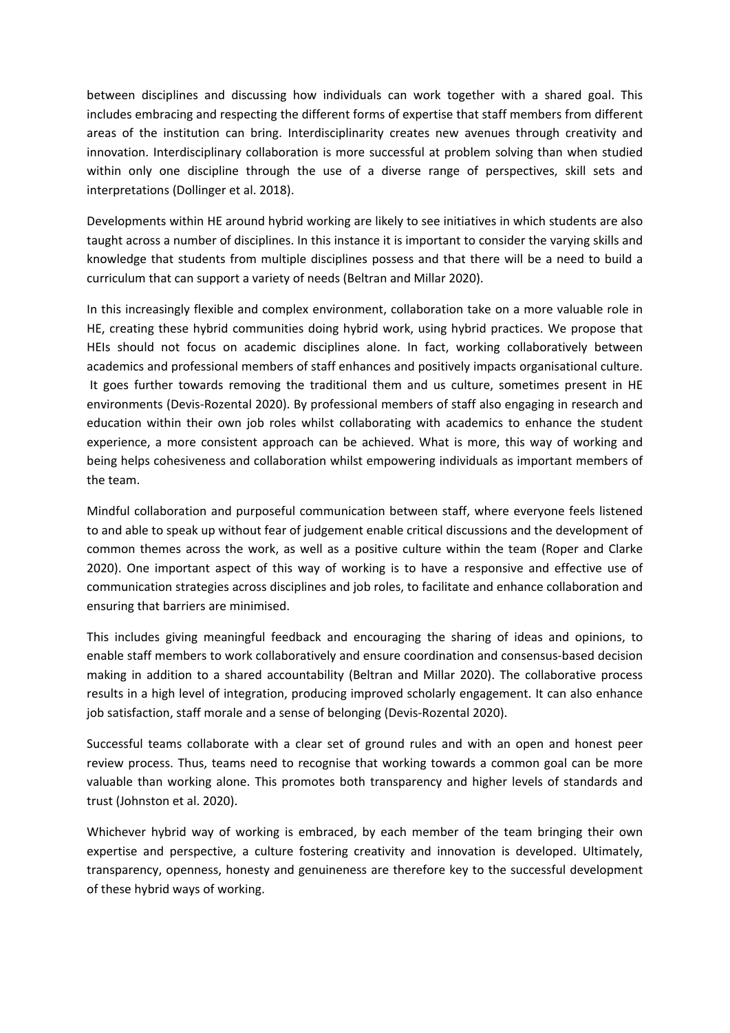between disciplines and discussing how individuals can work together with <sup>a</sup> shared goal. This includes embracing and respecting the different forms of expertise that staff members from different areas of the institution can bring. Interdisciplinarity creates new avenues through creativity and innovation. Interdisciplinary collaboration is more successful at problem solving than when studied within only one discipline through the use of <sup>a</sup> diverse range of perspectives, skill sets and interpretations (Dollinger et al. 2018).

Developments within HE around hybrid working are likely to see initiatives in which students are also taught across <sup>a</sup> number of disciplines. In this instance it is important to consider the varying skills and knowledge that students from multiple disciplines possess and that there will be <sup>a</sup> need to build <sup>a</sup> curriculum that can support <sup>a</sup> variety of needs (Beltran and Millar 2020).

In this increasingly flexible and complex environment, collaboration take on <sup>a</sup> more valuable role in HE, creating these hybrid communities doing hybrid work, using hybrid practices. We propose that HEIs should not focus on academic disciplines alone. In fact, working collaboratively between academics and professional members of staff enhances and positively impacts organisational culture. It goes further towards removing the traditional them and us culture, sometimes present in HE environments (Devis-Rozental 2020). By professional members of staff also engaging in research and education within their own job roles whilst collaborating with academics to enhance the student experience, <sup>a</sup> more consistent approach can be achieved. What is more, this way of working and being helps cohesiveness and collaboration whilst empowering individuals as important members of the team.

Mindful collaboration and purposeful communication between staff, where everyone feels listened to and able to speak up without fear of judgement enable critical discussions and the development of common themes across the work, as well as <sup>a</sup> positive culture within the team (Roper and Clarke 2020). One important aspect of this way of working is to have <sup>a</sup> responsive and effective use of communication strategies across disciplines and job roles, to facilitate and enhance collaboration and ensuring that barriers are minimised.

This includes giving meaningful feedback and encouraging the sharing of ideas and opinions, to enable staff members to work collaboratively and ensure coordination and consensus-based decision making in addition to <sup>a</sup> shared accountability (Beltran and Millar 2020). The collaborative process results in <sup>a</sup> high level of integration, producing improved scholarly engagement. It can also enhance job satisfaction, staff morale and <sup>a</sup> sense of belonging (Devis-Rozental 2020).

Successful teams collaborate with <sup>a</sup> clear set of ground rules and with an open and honest peer review process. Thus, teams need to recognise that working towards <sup>a</sup> common goal can be more valuable than working alone. This promotes both transparency and higher levels of standards and trust (Johnston et al. 2020).

Whichever hybrid way of working is embraced, by each member of the team bringing their own expertise and perspective, <sup>a</sup> culture fostering creativity and innovation is developed. Ultimately, transparency, openness, honesty and genuineness are therefore key to the successful development of these hybrid ways of working.